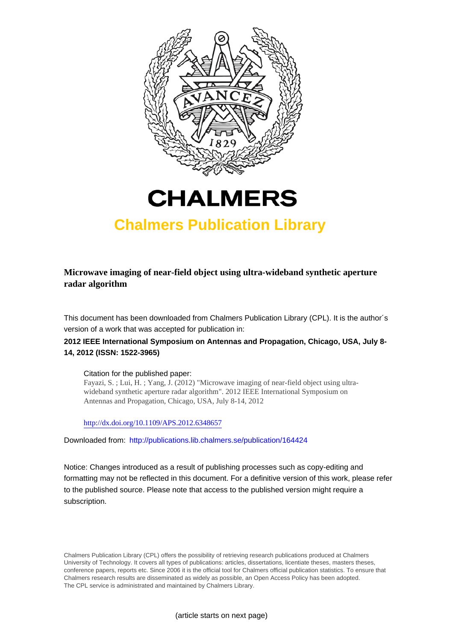



# **Chalmers Publication Library**

**Microwave imaging of near-field object using ultra-wideband synthetic aperture radar algorithm**

This document has been downloaded from Chalmers Publication Library (CPL). It is the author´s version of a work that was accepted for publication in:

**2012 IEEE International Symposium on Antennas and Propagation, Chicago, USA, July 8- 14, 2012 (ISSN: 1522-3965)**

Citation for the published paper:

Fayazi, S. ; Lui, H. ; Yang, J. (2012) "Microwave imaging of near-field object using ultrawideband synthetic aperture radar algorithm". 2012 IEEE International Symposium on Antennas and Propagation, Chicago, USA, July 8-14, 2012

<http://dx.doi.org/10.1109/APS.2012.6348657>

Downloaded from: <http://publications.lib.chalmers.se/publication/164424>

Notice: Changes introduced as a result of publishing processes such as copy-editing and formatting may not be reflected in this document. For a definitive version of this work, please refer to the published source. Please note that access to the published version might require a subscription.

Chalmers Publication Library (CPL) offers the possibility of retrieving research publications produced at Chalmers University of Technology. It covers all types of publications: articles, dissertations, licentiate theses, masters theses, conference papers, reports etc. Since 2006 it is the official tool for Chalmers official publication statistics. To ensure that Chalmers research results are disseminated as widely as possible, an Open Access Policy has been adopted. The CPL service is administrated and maintained by Chalmers Library.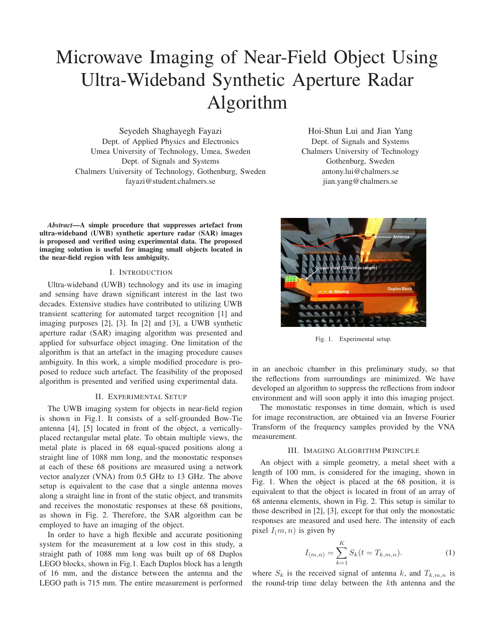# Microwave Imaging of Near-Field Object Using Ultra-Wideband Synthetic Aperture Radar Algorithm

Seyedeh Shaghayegh Fayazi Dept. of Applied Physics and Electronics Umea University of Technology, Umea, Sweden Dept. of Signals and Systems Chalmers University of Technology, Gothenburg, Sweden fayazi@student.chalmers.se

Hoi-Shun Lui and Jian Yang Dept. of Signals and Systems Chalmers University of Technology Gothenburg, Sweden antony.lui@chalmers.se jian.yang@chalmers.se

*Abstract***—A simple procedure that suppresses artefact from ultra-wideband (UWB) synthetic aperture radar (SAR) images is proposed and verified using experimental data. The proposed imaging solution is useful for imaging small objects located in the near-field region with less ambiguity.**

# I. INTRODUCTION

Ultra-wideband (UWB) technology and its use in imaging and sensing have drawn significant interest in the last two decades. Extensive studies have contributed to utilizing UWB transient scattering for automated target recognition [1] and imaging purposes [2], [3]. In [2] and [3], a UWB synthetic aperture radar (SAR) imaging algorithm was presented and applied for subsurface object imaging. One limitation of the algorithm is that an artefact in the imaging procedure causes ambiguity. In this work, a simple modified procedure is proposed to reduce such artefact. The feasibility of the proposed algorithm is presented and verified using experimental data.

#### II. EXPERIMENTAL SETUP

The UWB imaging system for objects in near-field region is shown in Fig.1. It consists of a self-grounded Bow-Tie antenna [4], [5] located in front of the object, a verticallyplaced rectangular metal plate. To obtain multiple views, the metal plate is placed in 68 equal-spaced positions along a straight line of 1088 mm long, and the monostatic responses at each of these 68 positions are measured using a network vector analyzer (VNA) from 0.5 GHz to 13 GHz. The above setup is equivalent to the case that a single antenna moves along a straight line in front of the static object, and transmits and receives the monostatic responses at these 68 positions, as shown in Fig. 2. Therefore, the SAR algorithm can be employed to have an imaging of the object.

In order to have a high flexible and accurate positioning system for the measurement at a low cost in this study, a straight path of 1088 mm long was built up of 68 Duplos LEGO blocks, shown in Fig.1. Each Duplos block has a length of 16 mm, and the distance between the antenna and the LEGO path is 715 mm. The entire measurement is performed



Fig. 1. Experimental setup.

in an anechoic chamber in this preliminary study, so that the reflections from surroundings are minimized. We have developed an algorithm to suppress the reflections from indoor environment and will soon apply it into this imaging project.

The monostatic responses in time domain, which is used for image reconstruction, are obtained via an Inverse Fourier Transform of the frequency samples provided by the VNA measurement.

#### III. IMAGING ALGORITHM PRINCIPLE

An object with a simple geometry, a metal sheet with a length of 100 mm, is considered for the imaging, shown in Fig. 1. When the object is placed at the 68 position, it is equivalent to that the object is located in front of an array of 68 antenna elements, shown in Fig. 2. This setup is similar to those described in [2], [3], except for that only the monostatic responses are measured and used here. The intensity of each pixel  $I_{(m, n)}$  is given by

$$
I_{(m,n)} = \sum_{k=1}^{K} S_k(t = T_{k,m,n}).
$$
 (1)

where  $S_k$  is the received signal of antenna k, and  $T_{k,m,n}$  is the round-trip time delay between the  $k$ th antenna and the